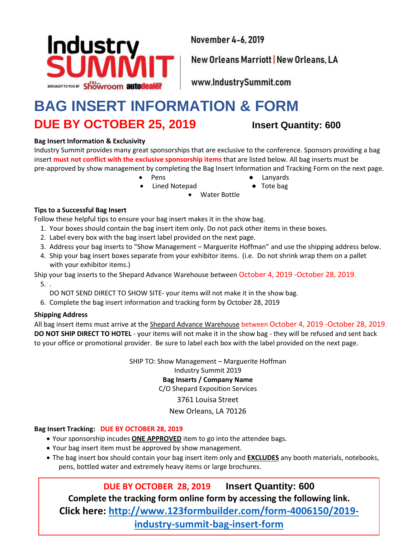

November 4-6, 2019

New Orleans Marriott | New Orleans, LA

www.IndustrySummit.com

## **BAG INSERT INFORMATION & FORM DUE BY OCTOBER 25, 2019 Insert Quantity: 600**

### **Bag Insert Information & Exclusivity**

Industry Summit provides many great sponsorships that are exclusive to the conference. Sponsors providing a bag insert **must not conflict with the exclusive sponsorship items** that are listed below. All bag inserts must be pre-approved by show management by completing the Bag Insert Information and Tracking Form on the next page.

- Pens  **Lanyards** 
	-
	- Lined Notepad Tote bag • Water Bottle
- 

**Tips to a Successful Bag Insert**

Follow these helpful tips to ensure your bag insert makes it in the show bag.

- 1. Your boxes should contain the bag insert item only. Do not pack other items in these boxes.
- 2. Label every box with the bag insert label provided on the next page.
- 3. Address your bag inserts to "Show Management Marguerite Hoffman" and use the shipping address below.
- 4. Ship your bag insert boxes separate from your exhibitor items. (i.e. Do not shrink wrap them on a pallet with your exhibitor items.)

Ship your bag inserts to the Shepard Advance Warehouse between October 4, 2019 -October 28, 2019.

5. .

- DO NOT SEND DIRECT TO SHOW SITE- your items will not make it in the show bag.
- 6. Complete the bag insert information and tracking form by October 28, 2019

#### **Shipping Address**

All bag insert items must arrive at the Shepard Advance Warehouse between October 4, 2019 -October 28, 2019. **DO NOT SHIP DIRECT TO HOTEL** - your items will not make it in the show bag - they will be refused and sent back to your office or promotional provider. Be sure to label each box with the label provided on the next page.

> SHIP TO: Show Management – Marguerite Hoffman Industry Summit 2019 **Bag Inserts / Company Name** C/O Shepard Exposition Services

### 3761 Louisa Street

### New Orleans, LA 70126

### **Bag Insert Tracking: DUE BY OCTOBER 28, 2019**

- Your sponsorship incudes **ONE APPROVED** item to go into the attendee bags.
- Your bag insert item must be approved by show management.
- The bag insert box should contain your bag insert item only and **EXCLUDES** any booth materials, notebooks, pens, bottled water and extremely heavy items or large brochures.

**DUE BY OCTOBER 28, 2019 Insert Quantity: 600 Complete the tracking form online form by accessing the following link. Click here: [http://www.123formbuilder.com/form-4006150/2019](http://www.123formbuilder.com/form-4006150/2019-industry-summit-bag-insert-form) [industry-summit-bag-insert-form](http://www.123formbuilder.com/form-4006150/2019-industry-summit-bag-insert-form)**